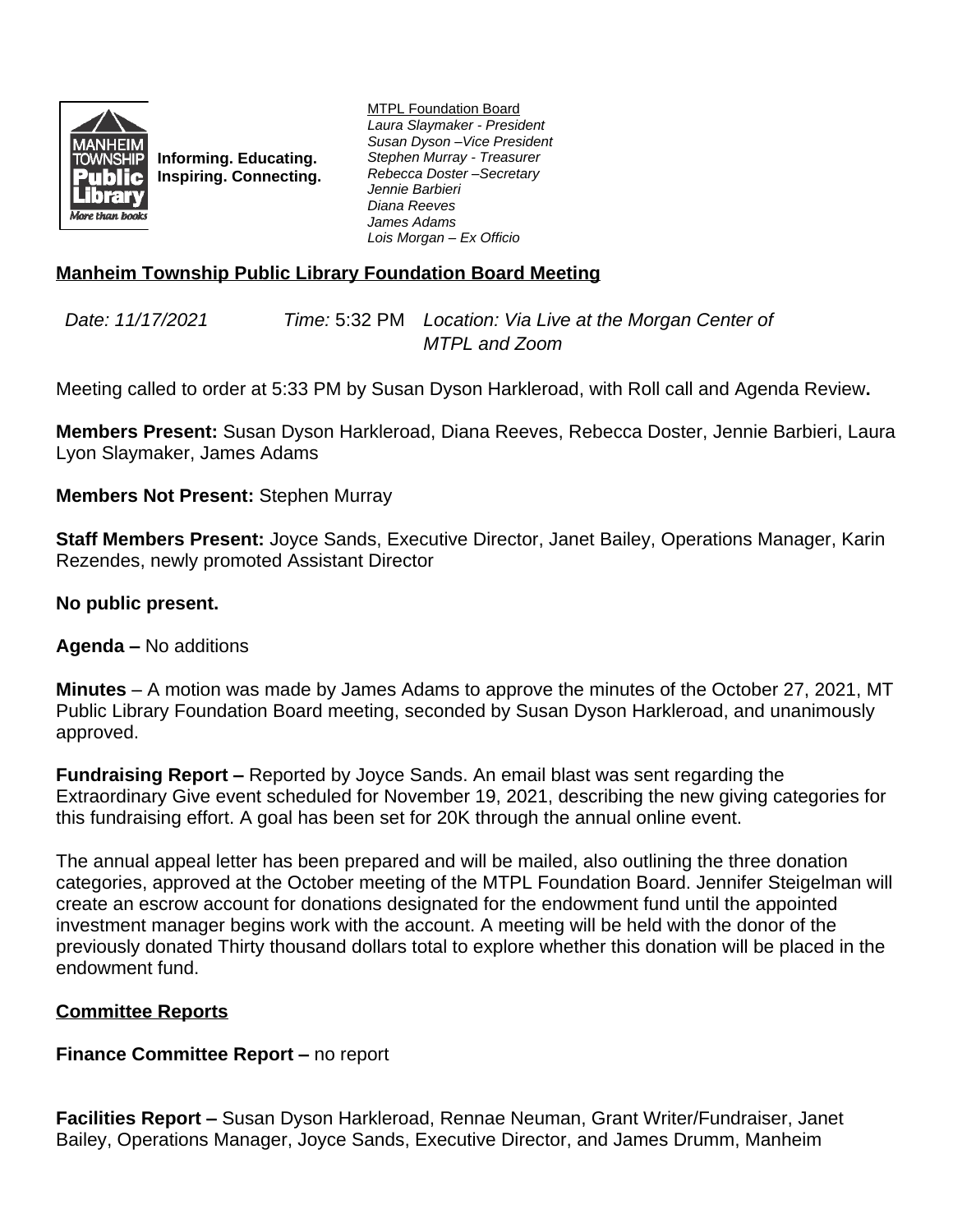

**Informing. Educating. Inspiring. Connecting.** MTPL Foundation Board *Laura Slaymaker - President Susan Dyson –Vice President Stephen Murray - Treasurer Rebecca Doster –Secretary Jennie Barbieri Diana Reeves James Adams Lois Morgan – Ex Officio*

# **Manheim Township Public Library Foundation Board Meeting**

*Date: 11/17/2021 Time:* 5:32 PM *Location: Via Live at the Morgan Center of MTPL and Zoom*

Meeting called to order at 5:33 PM by Susan Dyson Harkleroad, with Roll call and Agenda Review**.**

**Members Present:** Susan Dyson Harkleroad, Diana Reeves, Rebecca Doster, Jennie Barbieri, Laura Lyon Slaymaker, James Adams

### **Members Not Present:** Stephen Murray

**Staff Members Present:** Joyce Sands, Executive Director, Janet Bailey, Operations Manager, Karin Rezendes, newly promoted Assistant Director

# **No public present.**

**Agenda –** No additions

**Minutes** – A motion was made by James Adams to approve the minutes of the October 27, 2021, MT Public Library Foundation Board meeting, seconded by Susan Dyson Harkleroad, and unanimously approved.

**Fundraising Report –** Reported by Joyce Sands. An email blast was sent regarding the Extraordinary Give event scheduled for November 19, 2021, describing the new giving categories for this fundraising effort. A goal has been set for 20K through the annual online event.

The annual appeal letter has been prepared and will be mailed, also outlining the three donation categories, approved at the October meeting of the MTPL Foundation Board. Jennifer Steigelman will create an escrow account for donations designated for the endowment fund until the appointed investment manager begins work with the account. A meeting will be held with the donor of the previously donated Thirty thousand dollars total to explore whether this donation will be placed in the endowment fund.

### **Committee Reports**

### **Finance Committee Report – no report**

**Facilities Report –** Susan Dyson Harkleroad, Rennae Neuman, Grant Writer/Fundraiser, Janet Bailey, Operations Manager, Joyce Sands, Executive Director, and James Drumm, Manheim